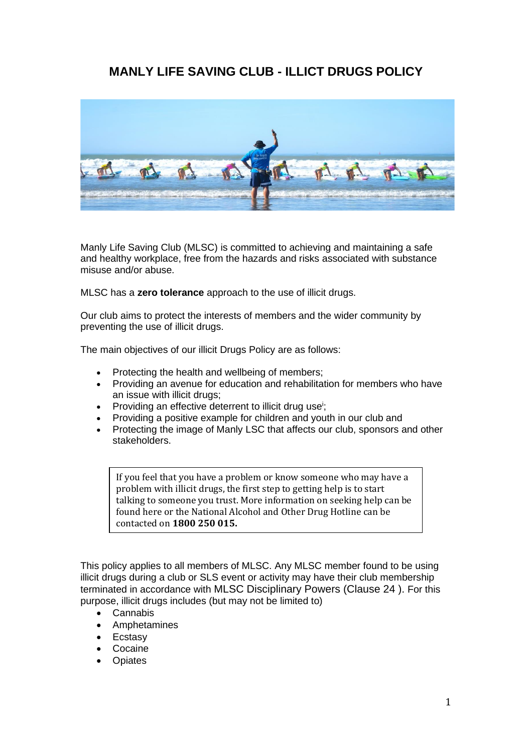## **MANLY LIFE SAVING CLUB - ILLICT DRUGS POLICY**



Manly Life Saving Club (MLSC) is committed to achieving and maintaining a safe and healthy workplace, free from the hazards and risks associated with substance misuse and/or abuse.

MLSC has a **zero tolerance** approach to the use of illicit drugs.

Our club aims to protect the interests of members and the wider community by preventing the use of illicit drugs.

The main objectives of our illicit Drugs Policy are as follows:

- Protecting the health and wellbeing of members;
- Providing an avenue for education and rehabilitation for members who have an issue with illicit drugs;
- Providing an effective deterrent to illicit drug use<sup>i</sup>;
- Providing a positive example for children and youth in our club and
- Protecting the image of Manly LSC that affects our club, sponsors and other stakeholders.

If you feel that you have a problem or know someone who may have a problem with illicit drugs, the first step to getting help is to start talking to someone you trust. More information on seeking help can be found here or the National Alcohol and Other Drug Hotline can be contacted on **1800 250 015.**

This policy applies to all members of MLSC. Any MLSC member found to be using illicit drugs during a club or SLS event or activity may have their club membership terminated in accordance with MLSC Disciplinary Powers (Clause 24 ). For this purpose, illicit drugs includes (but may not be limited to)

- Cannabis
- Amphetamines
- **Ecstasy**
- **Cocaine**
- **Opiates**